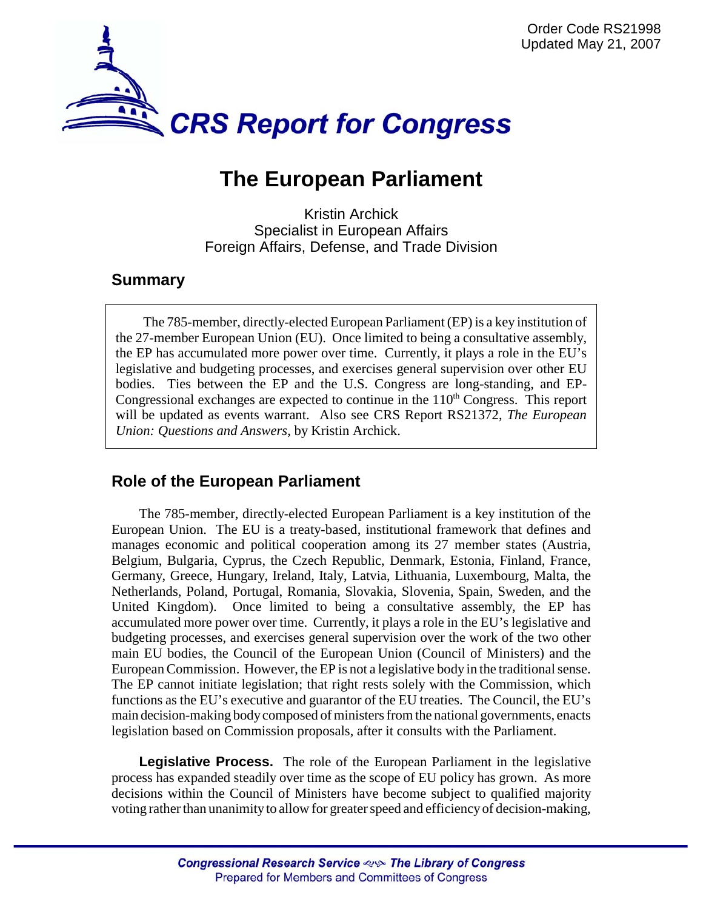

# **The European Parliament**

Kristin Archick Specialist in European Affairs Foreign Affairs, Defense, and Trade Division

# **Summary**

The 785-member, directly-elected European Parliament (EP) is a key institution of the 27-member European Union (EU). Once limited to being a consultative assembly, the EP has accumulated more power over time. Currently, it plays a role in the EU's legislative and budgeting processes, and exercises general supervision over other EU bodies. Ties between the EP and the U.S. Congress are long-standing, and EP-Congressional exchanges are expected to continue in the  $110<sup>th</sup>$  Congress. This report will be updated as events warrant. Also see CRS Report RS21372, *The European Union: Questions and Answers*, by Kristin Archick.

# **Role of the European Parliament**

The 785-member, directly-elected European Parliament is a key institution of the European Union. The EU is a treaty-based, institutional framework that defines and manages economic and political cooperation among its 27 member states (Austria, Belgium, Bulgaria, Cyprus, the Czech Republic, Denmark, Estonia, Finland, France, Germany, Greece, Hungary, Ireland, Italy, Latvia, Lithuania, Luxembourg, Malta, the Netherlands, Poland, Portugal, Romania, Slovakia, Slovenia, Spain, Sweden, and the United Kingdom). Once limited to being a consultative assembly, the EP has accumulated more power over time. Currently, it plays a role in the EU's legislative and budgeting processes, and exercises general supervision over the work of the two other main EU bodies, the Council of the European Union (Council of Ministers) and the European Commission. However, the EP is not a legislative body in the traditional sense. The EP cannot initiate legislation; that right rests solely with the Commission, which functions as the EU's executive and guarantor of the EU treaties. The Council, the EU's main decision-making body composed of ministers from the national governments, enacts legislation based on Commission proposals, after it consults with the Parliament.

**Legislative Process.** The role of the European Parliament in the legislative process has expanded steadily over time as the scope of EU policy has grown. As more decisions within the Council of Ministers have become subject to qualified majority voting rather than unanimity to allow for greater speed and efficiency of decision-making,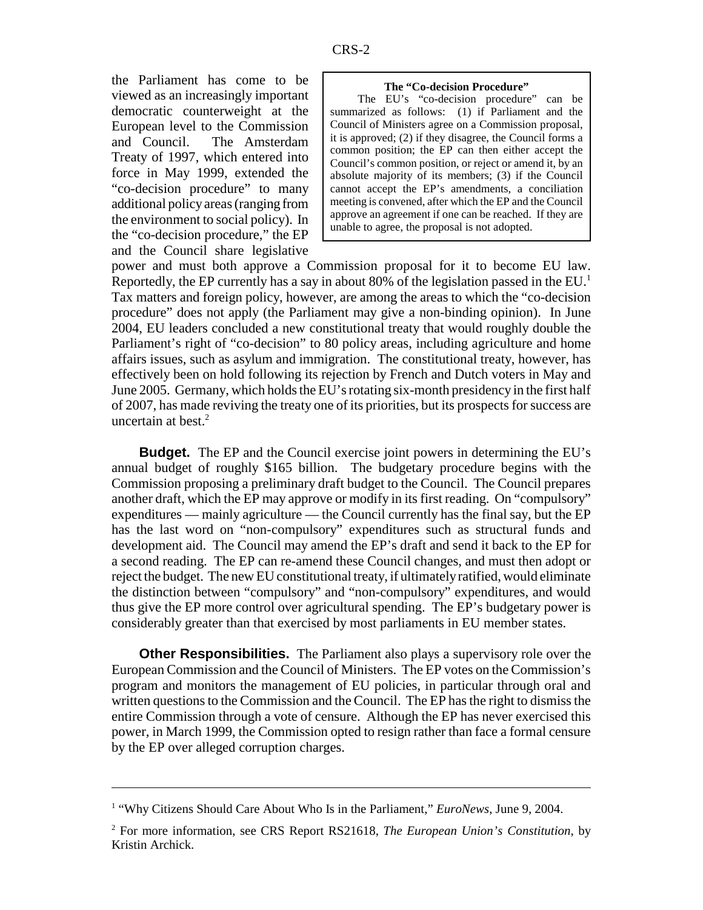the Parliament has come to be viewed as an increasingly important democratic counterweight at the European level to the Commission and Council. The Amsterdam Treaty of 1997, which entered into force in May 1999, extended the "co-decision procedure" to many additional policy areas (ranging from the environment to social policy). In the "co-decision procedure," the EP and the Council share legislative

#### **The "Co-decision Procedure"**

The EU's "co-decision procedure" can be summarized as follows: (1) if Parliament and the Council of Ministers agree on a Commission proposal, it is approved; (2) if they disagree, the Council forms a common position; the EP can then either accept the Council's common position, or reject or amend it, by an absolute majority of its members; (3) if the Council cannot accept the EP's amendments, a conciliation meeting is convened, after which the EP and the Council approve an agreement if one can be reached. If they are unable to agree, the proposal is not adopted.

power and must both approve a Commission proposal for it to become EU law. Reportedly, the EP currently has a say in about 80% of the legislation passed in the  $EU^1$ . Tax matters and foreign policy, however, are among the areas to which the "co-decision procedure" does not apply (the Parliament may give a non-binding opinion). In June 2004, EU leaders concluded a new constitutional treaty that would roughly double the Parliament's right of "co-decision" to 80 policy areas, including agriculture and home affairs issues, such as asylum and immigration. The constitutional treaty, however, has effectively been on hold following its rejection by French and Dutch voters in May and June 2005. Germany, which holds the EU's rotating six-month presidency in the first half of 2007, has made reviving the treaty one of its priorities, but its prospects for success are uncertain at best. $2$ 

**Budget.** The EP and the Council exercise joint powers in determining the EU's annual budget of roughly \$165 billion. The budgetary procedure begins with the Commission proposing a preliminary draft budget to the Council. The Council prepares another draft, which the EP may approve or modify in its first reading. On "compulsory" expenditures — mainly agriculture — the Council currently has the final say, but the EP has the last word on "non-compulsory" expenditures such as structural funds and development aid. The Council may amend the EP's draft and send it back to the EP for a second reading. The EP can re-amend these Council changes, and must then adopt or reject the budget. The new EU constitutional treaty, if ultimately ratified, would eliminate the distinction between "compulsory" and "non-compulsory" expenditures, and would thus give the EP more control over agricultural spending. The EP's budgetary power is considerably greater than that exercised by most parliaments in EU member states.

**Other Responsibilities.** The Parliament also plays a supervisory role over the European Commission and the Council of Ministers. The EP votes on the Commission's program and monitors the management of EU policies, in particular through oral and written questions to the Commission and the Council. The EP has the right to dismiss the entire Commission through a vote of censure. Although the EP has never exercised this power, in March 1999, the Commission opted to resign rather than face a formal censure by the EP over alleged corruption charges.

<sup>&</sup>lt;sup>1</sup> "Why Citizens Should Care About Who Is in the Parliament," *EuroNews*, June 9, 2004.

<sup>2</sup> For more information, see CRS Report RS21618, *The European Union's Constitution*, by Kristin Archick.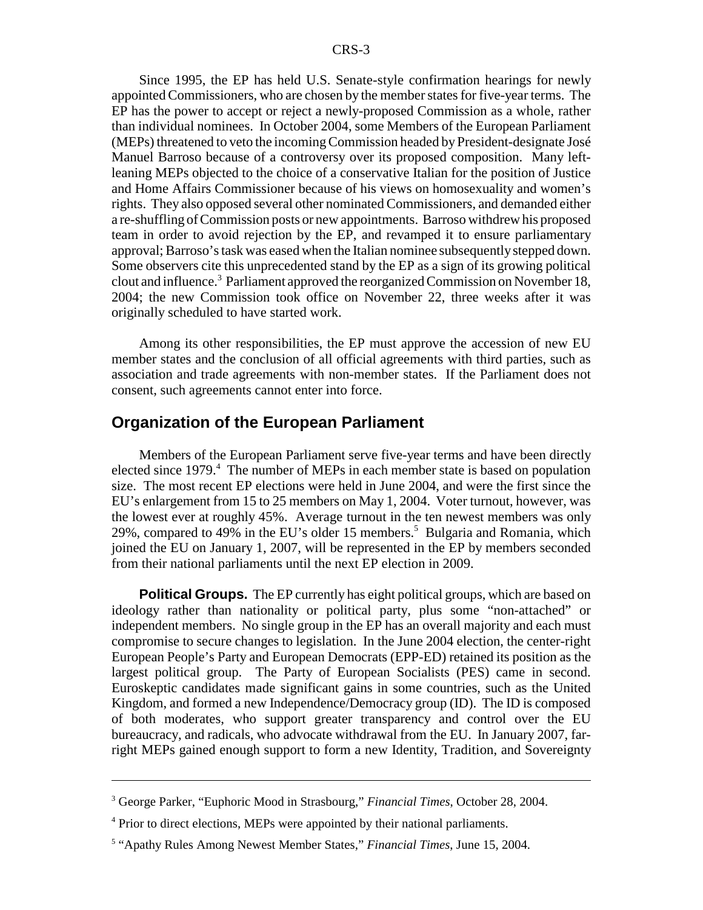Since 1995, the EP has held U.S. Senate-style confirmation hearings for newly appointed Commissioners, who are chosen by the member states for five-year terms. The EP has the power to accept or reject a newly-proposed Commission as a whole, rather than individual nominees. In October 2004, some Members of the European Parliament (MEPs) threatened to veto the incoming Commission headed by President-designate José Manuel Barroso because of a controversy over its proposed composition. Many leftleaning MEPs objected to the choice of a conservative Italian for the position of Justice and Home Affairs Commissioner because of his views on homosexuality and women's rights. They also opposed several other nominated Commissioners, and demanded either a re-shuffling of Commission posts or new appointments. Barroso withdrew his proposed team in order to avoid rejection by the EP, and revamped it to ensure parliamentary approval; Barroso's task was eased when the Italian nominee subsequently stepped down. Some observers cite this unprecedented stand by the EP as a sign of its growing political clout and influence.<sup>3</sup> Parliament approved the reorganized Commission on November 18, 2004; the new Commission took office on November 22, three weeks after it was originally scheduled to have started work.

Among its other responsibilities, the EP must approve the accession of new EU member states and the conclusion of all official agreements with third parties, such as association and trade agreements with non-member states. If the Parliament does not consent, such agreements cannot enter into force.

### **Organization of the European Parliament**

Members of the European Parliament serve five-year terms and have been directly elected since 1979.<sup>4</sup> The number of MEPs in each member state is based on population size. The most recent EP elections were held in June 2004, and were the first since the EU's enlargement from 15 to 25 members on May 1, 2004. Voter turnout, however, was the lowest ever at roughly 45%. Average turnout in the ten newest members was only 29%, compared to 49% in the EU's older 15 members.<sup>5</sup> Bulgaria and Romania, which joined the EU on January 1, 2007, will be represented in the EP by members seconded from their national parliaments until the next EP election in 2009.

**Political Groups.** The EP currently has eight political groups, which are based on ideology rather than nationality or political party, plus some "non-attached" or independent members. No single group in the EP has an overall majority and each must compromise to secure changes to legislation. In the June 2004 election, the center-right European People's Party and European Democrats (EPP-ED) retained its position as the largest political group. The Party of European Socialists (PES) came in second. Euroskeptic candidates made significant gains in some countries, such as the United Kingdom, and formed a new Independence/Democracy group (ID). The ID is composed of both moderates, who support greater transparency and control over the EU bureaucracy, and radicals, who advocate withdrawal from the EU. In January 2007, farright MEPs gained enough support to form a new Identity, Tradition, and Sovereignty

<sup>3</sup> George Parker, "Euphoric Mood in Strasbourg," *Financial Times*, October 28, 2004.

<sup>&</sup>lt;sup>4</sup> Prior to direct elections, MEPs were appointed by their national parliaments.

<sup>5</sup> "Apathy Rules Among Newest Member States," *Financial Times*, June 15, 2004.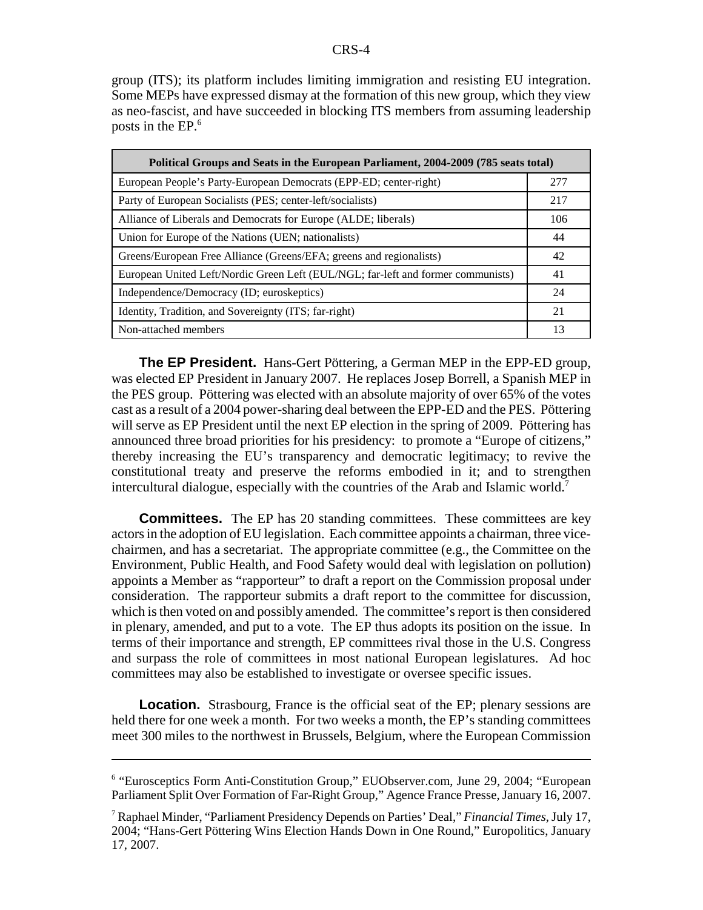group (ITS); its platform includes limiting immigration and resisting EU integration. Some MEPs have expressed dismay at the formation of this new group, which they view as neo-fascist, and have succeeded in blocking ITS members from assuming leadership posts in the EP.6

| Political Groups and Seats in the European Parliament, 2004-2009 (785 seats total) |     |
|------------------------------------------------------------------------------------|-----|
| European People's Party-European Democrats (EPP-ED; center-right)                  | 277 |
| Party of European Socialists (PES; center-left/socialists)                         | 217 |
| Alliance of Liberals and Democrats for Europe (ALDE; liberals)                     | 106 |
| Union for Europe of the Nations (UEN; nationalists)                                | 44  |
| Greens/European Free Alliance (Greens/EFA; greens and regionalists)                | 42  |
| European United Left/Nordic Green Left (EUL/NGL; far-left and former communists)   | 41  |
| Independence/Democracy (ID; euroskeptics)                                          | 24  |
| Identity, Tradition, and Sovereignty (ITS; far-right)                              | 21  |
| Non-attached members                                                               | 13  |

**The EP President.** Hans-Gert Pöttering, a German MEP in the EPP-ED group, was elected EP President in January 2007. He replaces Josep Borrell, a Spanish MEP in the PES group. Pöttering was elected with an absolute majority of over 65% of the votes cast as a result of a 2004 power-sharing deal between the EPP-ED and the PES. Pöttering will serve as EP President until the next EP election in the spring of 2009. Pöttering has announced three broad priorities for his presidency: to promote a "Europe of citizens," thereby increasing the EU's transparency and democratic legitimacy; to revive the constitutional treaty and preserve the reforms embodied in it; and to strengthen intercultural dialogue, especially with the countries of the Arab and Islamic world.7

**Committees.** The EP has 20 standing committees. These committees are key actors in the adoption of EU legislation. Each committee appoints a chairman, three vicechairmen, and has a secretariat. The appropriate committee (e.g., the Committee on the Environment, Public Health, and Food Safety would deal with legislation on pollution) appoints a Member as "rapporteur" to draft a report on the Commission proposal under consideration. The rapporteur submits a draft report to the committee for discussion, which is then voted on and possibly amended. The committee's report is then considered in plenary, amended, and put to a vote. The EP thus adopts its position on the issue. In terms of their importance and strength, EP committees rival those in the U.S. Congress and surpass the role of committees in most national European legislatures. Ad hoc committees may also be established to investigate or oversee specific issues.

**Location.** Strasbourg, France is the official seat of the EP; plenary sessions are held there for one week a month. For two weeks a month, the EP's standing committees meet 300 miles to the northwest in Brussels, Belgium, where the European Commission

<sup>&</sup>lt;sup>6</sup> "Eurosceptics Form Anti-Constitution Group," EUObserver.com, June 29, 2004; "European Parliament Split Over Formation of Far-Right Group," Agence France Presse, January 16, 2007.

<sup>7</sup> Raphael Minder, "Parliament Presidency Depends on Parties' Deal," *Financial Times*, July 17, 2004; "Hans-Gert Pöttering Wins Election Hands Down in One Round," Europolitics, January 17, 2007.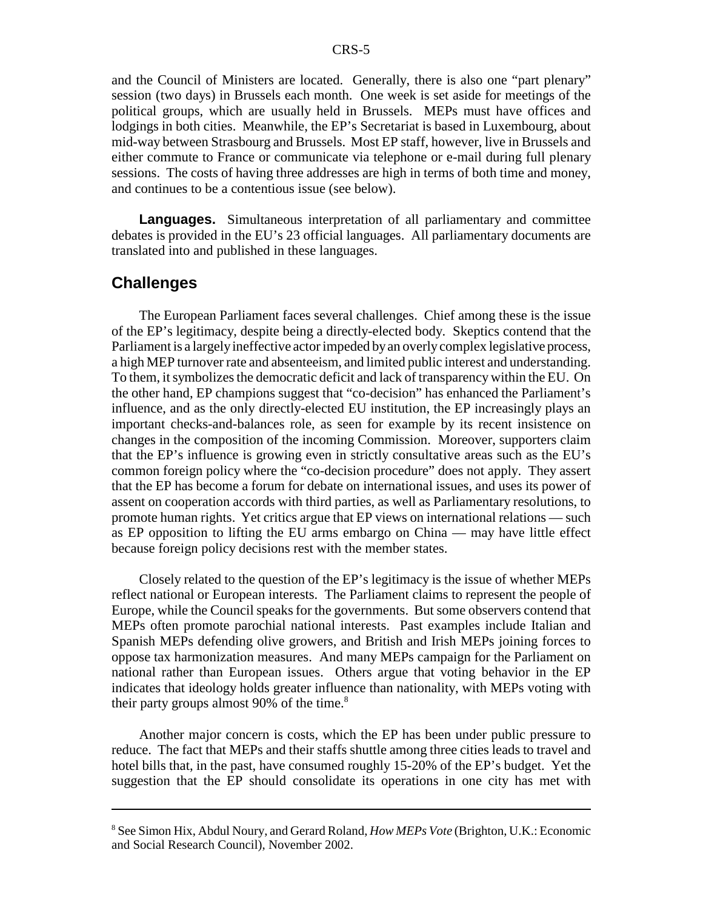and the Council of Ministers are located. Generally, there is also one "part plenary" session (two days) in Brussels each month. One week is set aside for meetings of the political groups, which are usually held in Brussels. MEPs must have offices and lodgings in both cities. Meanwhile, the EP's Secretariat is based in Luxembourg, about mid-way between Strasbourg and Brussels. Most EP staff, however, live in Brussels and either commute to France or communicate via telephone or e-mail during full plenary sessions. The costs of having three addresses are high in terms of both time and money, and continues to be a contentious issue (see below).

**Languages.** Simultaneous interpretation of all parliamentary and committee debates is provided in the EU's 23 official languages. All parliamentary documents are translated into and published in these languages.

### **Challenges**

The European Parliament faces several challenges. Chief among these is the issue of the EP's legitimacy, despite being a directly-elected body. Skeptics contend that the Parliament is a largely ineffective actor impeded by an overly complex legislative process, a high MEP turnover rate and absenteeism, and limited public interest and understanding. To them, it symbolizes the democratic deficit and lack of transparency within the EU. On the other hand, EP champions suggest that "co-decision" has enhanced the Parliament's influence, and as the only directly-elected EU institution, the EP increasingly plays an important checks-and-balances role, as seen for example by its recent insistence on changes in the composition of the incoming Commission. Moreover, supporters claim that the EP's influence is growing even in strictly consultative areas such as the EU's common foreign policy where the "co-decision procedure" does not apply. They assert that the EP has become a forum for debate on international issues, and uses its power of assent on cooperation accords with third parties, as well as Parliamentary resolutions, to promote human rights. Yet critics argue that EP views on international relations — such as EP opposition to lifting the EU arms embargo on China — may have little effect because foreign policy decisions rest with the member states.

Closely related to the question of the EP's legitimacy is the issue of whether MEPs reflect national or European interests. The Parliament claims to represent the people of Europe, while the Council speaks for the governments. But some observers contend that MEPs often promote parochial national interests. Past examples include Italian and Spanish MEPs defending olive growers, and British and Irish MEPs joining forces to oppose tax harmonization measures. And many MEPs campaign for the Parliament on national rather than European issues. Others argue that voting behavior in the EP indicates that ideology holds greater influence than nationality, with MEPs voting with their party groups almost 90% of the time. $8$ 

Another major concern is costs, which the EP has been under public pressure to reduce. The fact that MEPs and their staffs shuttle among three cities leads to travel and hotel bills that, in the past, have consumed roughly 15-20% of the EP's budget. Yet the suggestion that the EP should consolidate its operations in one city has met with

<sup>8</sup> See Simon Hix, Abdul Noury, and Gerard Roland, *How MEPs Vote* (Brighton, U.K.: Economic and Social Research Council), November 2002.